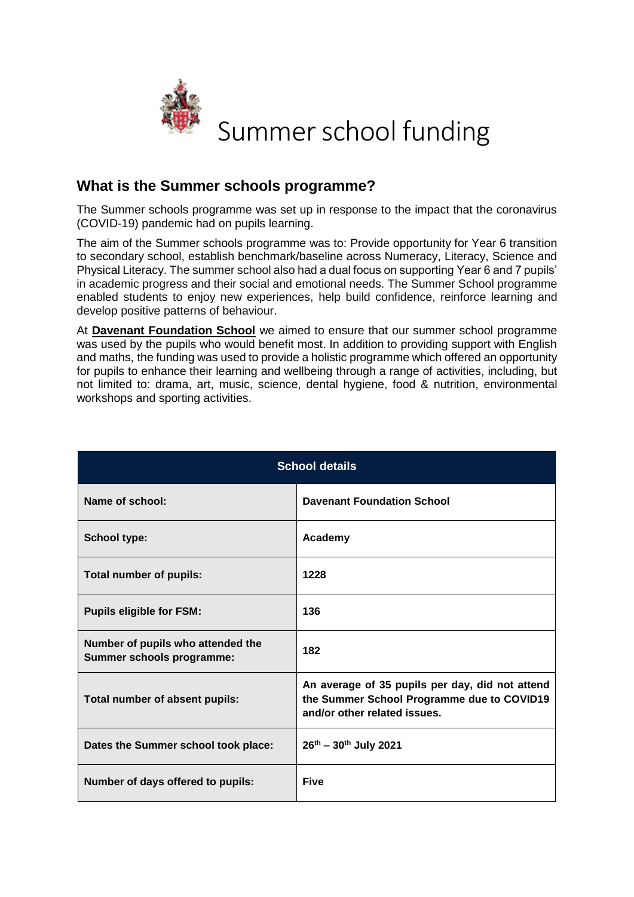

## **What is the Summer schools programme?**

The Summer schools programme was set up in response to the impact that the coronavirus (COVID-19) pandemic had on pupils learning.

The aim of the Summer schools programme was to: Provide opportunity for Year 6 transition to secondary school, establish benchmark/baseline across Numeracy, Literacy, Science and Physical Literacy. The summer school also had a dual focus on supporting Year 6 and 7 pupils' in academic progress and their social and emotional needs. The Summer School programme enabled students to enjoy new experiences, help build confidence, reinforce learning and develop positive patterns of behaviour.

At **Davenant Foundation School** we aimed to ensure that our summer school programme was used by the pupils who would benefit most. In addition to providing support with English and maths, the funding was used to provide a holistic programme which offered an opportunity for pupils to enhance their learning and wellbeing through a range of activities, including, but not limited to: drama, art, music, science, dental hygiene, food & nutrition, environmental workshops and sporting activities.

| <b>School details</b>                                          |                                                                                                                               |  |
|----------------------------------------------------------------|-------------------------------------------------------------------------------------------------------------------------------|--|
| Name of school:                                                | <b>Davenant Foundation School</b>                                                                                             |  |
| <b>School type:</b>                                            | Academy                                                                                                                       |  |
| Total number of pupils:                                        | 1228                                                                                                                          |  |
| <b>Pupils eligible for FSM:</b>                                | 136                                                                                                                           |  |
| Number of pupils who attended the<br>Summer schools programme: | 182                                                                                                                           |  |
| Total number of absent pupils:                                 | An average of 35 pupils per day, did not attend<br>the Summer School Programme due to COVID19<br>and/or other related issues. |  |
| Dates the Summer school took place:                            | $26^{th} - 30^{th}$ July 2021                                                                                                 |  |
| Number of days offered to pupils:                              | <b>Five</b>                                                                                                                   |  |